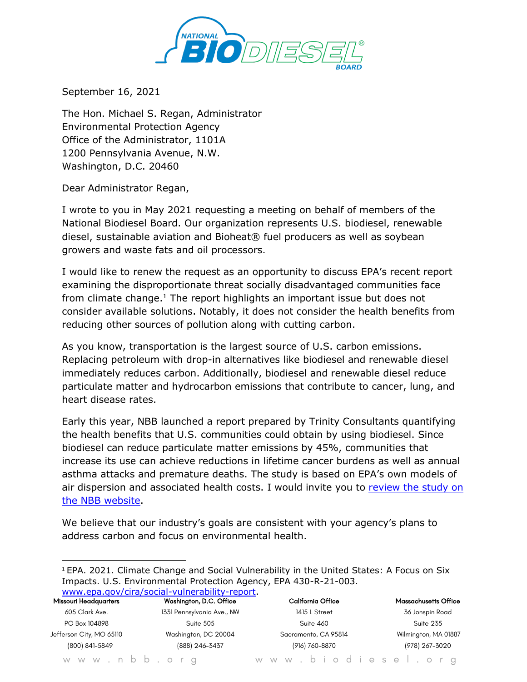

September 16, 2021

The Hon. Michael S. Regan, Administrator Environmental Protection Agency Office of the Administrator, 1101A 1200 Pennsylvania Avenue, N.W. Washington, D.C. 20460

Dear Administrator Regan,

I wrote to you in May 2021 requesting a meeting on behalf of members of the National Biodiesel Board. Our organization represents U.S. biodiesel, renewable diesel, sustainable aviation and Bioheat® fuel producers as well as soybean growers and waste fats and oil processors.

I would like to renew the request as an opportunity to discuss EPA's recent report examining the disproportionate threat socially disadvantaged communities face from climate change.<sup>1</sup> The report highlights an important issue but does not consider available solutions. Notably, it does not consider the health benefits from reducing other sources of pollution along with cutting carbon.

As you know, transportation is the largest source of U.S. carbon emissions. Replacing petroleum with drop-in alternatives like biodiesel and renewable diesel immediately reduces carbon. Additionally, biodiesel and renewable diesel reduce particulate matter and hydrocarbon emissions that contribute to cancer, lung, and heart disease rates.

Early this year, NBB launched a report prepared by Trinity Consultants quantifying the health benefits that U.S. communities could obtain by using biodiesel. Since biodiesel can reduce particulate matter emissions by 45%, communities that increase its use can achieve reductions in lifetime cancer burdens as well as annual asthma attacks and premature deaths. The study is based on EPA's own models of air dispersion and associated health costs. I would invite you to [review](https://www.biodiesel.org/news-resources/health-benefits-study) the study on the NBB [website.](https://www.biodiesel.org/news-resources/health-benefits-study)

We believe that our industry's goals are consistent with your agency's plans to address carbon and focus on environmental health.

| <sup>1</sup> EPA. 2021. Climate Change and Social Vulnerability in the United States: A Focus on Six |
|------------------------------------------------------------------------------------------------------|
| Impacts. U.S. Environmental Protection Agency, EPA 430-R-21-003.                                     |
| www.epa.gov/cira/social-vulnerability-report                                                         |

| <b>Missouri Headquarters</b> | Washington, D.C. Office    | California Office    | <b>Massachusetts Office</b> |
|------------------------------|----------------------------|----------------------|-----------------------------|
| 605 Clark Ave.               | 1331 Pennsylvania Ave., NW | 1415 L Street        | 36 Jonspin Road             |
| PO Box 104898                | Suite 505                  | Suite 460            | Suite 235                   |
| Jefferson City, MO 65110     | Washington, DC 20004       | Sacramento, CA 95814 | Wilmington, MA 01887        |
| (800) 841-5849               | (888) 246-3437             | (916) 760-8870       | (978) 267-3020              |
|                              |                            |                      |                             |

w w w . n b b . o r g w w w . b i o d i e s e l . o r g